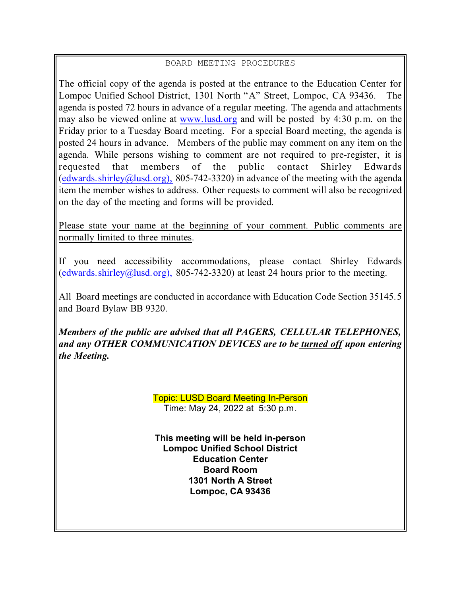# BOARD MEETING PROCEDURES

The official copy of the agenda is posted at the entrance to the Education Center for Lompoc Unified School District, 1301 North "A" Street, Lompoc, CA 93436. The agenda is posted 72 hours in advance of a regular meeting. The agenda and attachments may also be viewed online at [www.lusd.org](http://www.lusd.org) and will be posted by 4:30 p.m. on the Friday prior to a Tuesday Board meeting. For a special Board meeting, the agenda is posted 24 hours in advance. Members of the public may comment on any item on the agenda. While persons wishing to comment are not required to pre-register, it is requested that members of the public contact Shirley Edwards [\(edwards.shirley@lusd.org\),](mailto:edwards.shirley@lusd.org),) 805-742-3320) in advance of the meeting with the agenda item the member wishes to address. Other requests to comment will also be recognized on the day of the meeting and forms will be provided.

Please state your name at the beginning of your comment. Public comments are normally limited to three minutes.

If you need accessibility accommodations, please contact Shirley Edwards [\(edwards.shirley@lusd.org\),](mailto:edwards.shirley@lusd.org),) 805-742-3320) at least 24 hours prior to the meeting.

All Board meetings are conducted in accordance with Education Code Section 35145.5 and Board Bylaw BB 9320.

*Members of the public are advised that all PAGERS, CELLULAR TELEPHONES, and any OTHER COMMUNICATION DEVICES are to be turned off upon entering the Meeting.*

> Topic: LUSD Board Meeting In-Person Time: May 24, 2022 at 5:30 p.m.

**This meeting will be held in-person Lompoc Unified School District Education Center Board Room 1301 North A Street Lompoc, CA 93436**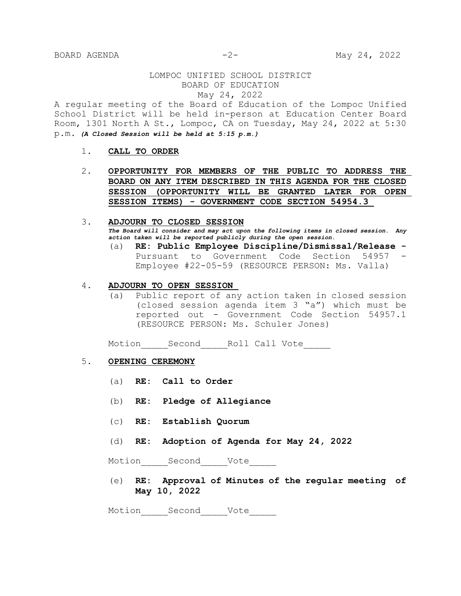### LOMPOC UNIFIED SCHOOL DISTRICT BOARD OF EDUCATION May 24, 2022

A regular meeting of the Board of Education of the Lompoc Unified School District will be held in-person at Education Center Board Room, 1301 North A St., Lompoc, CA on Tuesday, May 24, 2022 at 5:30 p.m. *(A Closed Session will be held at 5:15 p.m.)*

- 1. **CALL TO ORDER**
- 2. **OPPORTUNITY FOR MEMBERS OF THE PUBLIC TO ADDRESS THE BOARD ON ANY ITEM DESCRIBED IN THIS AGENDA FOR THE CLOSED SESSION (OPPORTUNITY WILL BE GRANTED LATER FOR OPEN SESSION ITEMS) - GOVERNMENT CODE SECTION 54954.3**

## 3. **ADJOURN TO CLOSED SESSION** *The Board will consider and may act upon the following items in closed session. Any action taken will be reported publicly during the open session.*

(a) **RE: Public Employee Discipline/Dismissal/Release -** Pursuant to Government Code Section 54957 - Employee #22-05-59 (RESOURCE PERSON: Ms. Valla)

#### 4. **ADJOURN TO OPEN SESSION**

(a) Public report of any action taken in closed session (closed session agenda item 3 "a") which must be reported out - Government Code Section 54957.1 (RESOURCE PERSON: Ms. Schuler Jones)

Motion Second Roll Call Vote

#### 5. **OPENING CEREMONY**

- (a) **RE: Call to Order**
- (b) **RE: Pledge of Allegiance**
- (c) **RE: Establish Quorum**
- (d) **RE: Adoption of Agenda for May 24, 2022**

Motion Second Vote

(e) **RE: Approval of Minutes of the regular meeting of May 10, 2022**

Motion Second Vote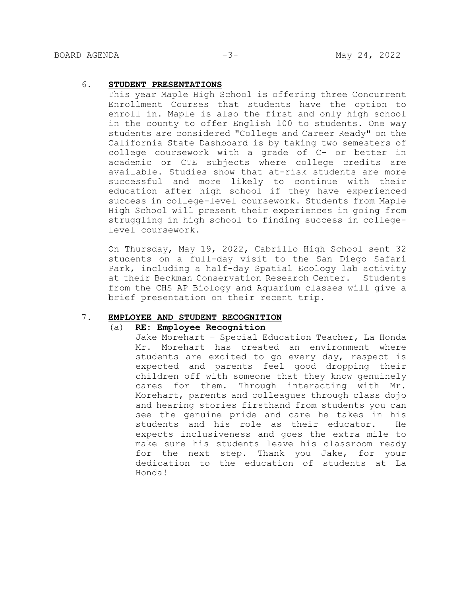#### 6. **STUDENT PRESENTATIONS**

This year Maple High School is offering three Concurrent Enrollment Courses that students have the option to enroll in. Maple is also the first and only high school in the county to offer English 100 to students. One way students are considered "College and Career Ready" on the California State Dashboard is by taking two semesters of college coursework with a grade of C- or better in academic or CTE subjects where college credits are available. Studies show that at-risk students are more successful and more likely to continue with their education after high school if they have experienced success in college-level coursework. Students from Maple High School will present their experiences in going from struggling in high school to finding success in collegelevel coursework.

On Thursday, May 19, 2022, Cabrillo High School sent 32 students on a full-day visit to the San Diego Safari Park, including a half-day Spatial Ecology lab activity at their Beckman Conservation Research Center. Students from the CHS AP Biology and Aquarium classes will give a brief presentation on their recent trip.

#### 7. **EMPLOYEE AND STUDENT RECOGNITION**

#### (a) **RE: Employee Recognition**

Jake Morehart – Special Education Teacher, La Honda Mr. Morehart has created an environment where students are excited to go every day, respect is expected and parents feel good dropping their children off with someone that they know genuinely cares for them. Through interacting with Mr. Morehart, parents and colleagues through class dojo and hearing stories firsthand from students you can see the genuine pride and care he takes in his students and his role as their educator. He expects inclusiveness and goes the extra mile to make sure his students leave his classroom ready for the next step. Thank you Jake, for your dedication to the education of students at La Honda!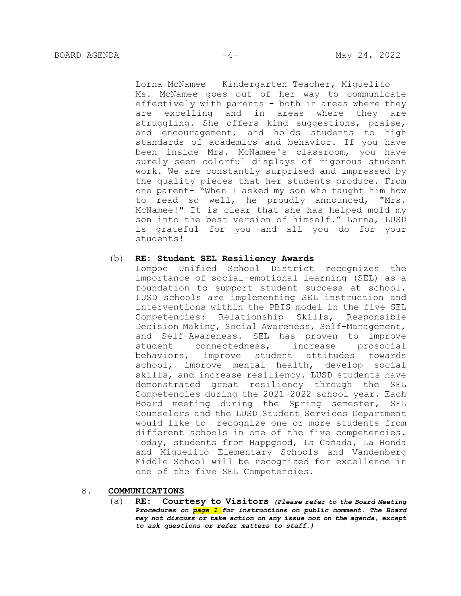Lorna McNamee – Kindergarten Teacher, Miguelito Ms. McNamee goes out of her way to communicate effectively with parents - both in areas where they are excelling and in areas where they are struggling. She offers kind suggestions, praise, and encouragement, and holds students to high standards of academics and behavior. If you have been inside Mrs. McNamee's classroom, you have surely seen colorful displays of rigorous student work. We are constantly surprised and impressed by the quality pieces that her students produce. From one parent- "When I asked my son who taught him how to read so well, he proudly announced, "Mrs. McNamee!" It is clear that she has helped mold my son into the best version of himself." Lorna, LUSD is grateful for you and all you do for your students!

#### (b) **RE: Student SEL Resiliency Awards**

Lompoc Unified School District recognizes the importance of social-emotional learning (SEL) as a foundation to support student success at school. LUSD schools are implementing SEL instruction and interventions within the PBIS model in the five SEL Competencies: Relationship Skills, Responsible Decision Making, Social Awareness, Self-Management, and Self-Awareness. SEL has proven to improve student connectedness, increase prosocial behaviors, improve student attitudes towards school, improve mental health, develop social skills, and increase resiliency. LUSD students have demonstrated great resiliency through the SEL Competencies during the 2021-2022 school year. Each Board meeting during the Spring semester, SEL Counselors and the LUSD Student Services Department would like to recognize one or more students from different schools in one of the five competencies. Today, students from Happgood, La Cañada, La Honda and Miguelito Elementary Schools and Vandenberg Middle School will be recognized for excellence in one of the five SEL Competencies.

#### 8. **COMMUNICATIONS**

(a) **RE: Courtesy to Visitors** *(Please refer to the Board Meeting Procedures on page 1 for instructions on public comment. The Board may not discuss or take action on any issue not on the agenda, except to ask questions or refer matters to staff.)*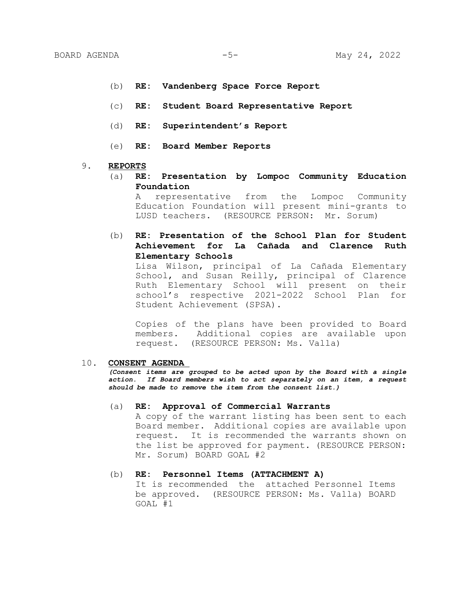- (b) **RE: Vandenberg Space Force Report**
- (c) **RE: Student Board Representative Report**
- (d) **RE: Superintendent's Report**
- (e) **RE: Board Member Reports**

#### 9. **REPORTS**

(a) **RE: Presentation by Lompoc Community Education Foundation**

A representative from the Lompoc Community Education Foundation will present mini-grants to LUSD teachers. (RESOURCE PERSON: Mr. Sorum)

(b) **RE: Presentation of the School Plan for Student Achievement for La Cañada and Clarence Ruth Elementary Schools**

Lisa Wilson, principal of La Cañada Elementary School, and Susan Reilly, principal of Clarence Ruth Elementary School will present on their school's respective 2021-2022 School Plan for Student Achievement (SPSA).

Copies of the plans have been provided to Board members. Additional copies are available upon request. (RESOURCE PERSON: Ms. Valla)

#### 10. **CONSENT AGENDA**

*(Consent items are grouped to be acted upon by the Board with a single action. If Board members wish to act separately on an item, a request should be made to remove the item from the consent list.)*

#### (a) **RE: Approval of Commercial Warrants**

A copy of the warrant listing has been sent to each Board member. Additional copies are available upon request. It is recommended the warrants shown on the list be approved for payment. (RESOURCE PERSON: Mr. Sorum) BOARD GOAL #2

#### (b) **RE: Personnel Items (ATTACHMENT A)**

It is recommended the attached Personnel Items be approved. (RESOURCE PERSON: Ms. Valla) BOARD GOAL #1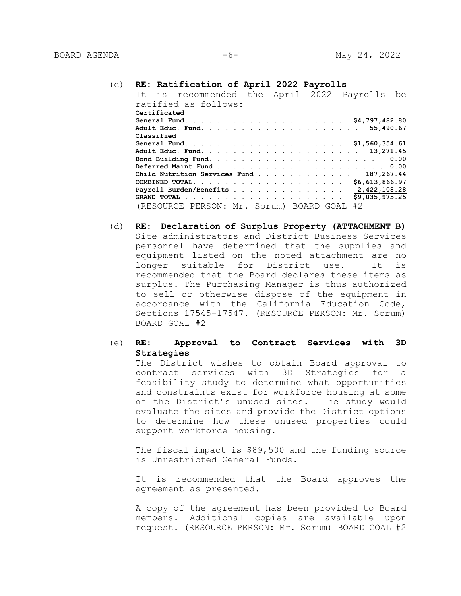#### (c) **RE: Ratification of April 2022 Payrolls**

| It is recommended the April 2022 Payrolls be |  |                |
|----------------------------------------------|--|----------------|
| ratified as follows:                         |  |                |
| Certificated                                 |  |                |
|                                              |  |                |
|                                              |  |                |
| Classified                                   |  |                |
|                                              |  |                |
|                                              |  |                |
|                                              |  |                |
|                                              |  |                |
| Child Nutrition Services Fund 187,267.44     |  |                |
|                                              |  |                |
| Payroll Burden/Benefits 2,422,108.28         |  |                |
|                                              |  | \$9,035,975.25 |
| (RESOURCE PERSON: Mr. Sorum) BOARD GOAL      |  | #2             |

(d) **RE: Declaration of Surplus Property (ATTACHMENT B)** Site administrators and District Business Services personnel have determined that the supplies and equipment listed on the noted attachment are no longer suitable for District use. It is recommended that the Board declares these items as surplus. The Purchasing Manager is thus authorized to sell or otherwise dispose of the equipment in accordance with the California Education Code, Sections 17545-17547. (RESOURCE PERSON: Mr. Sorum) BOARD GOAL #2

### (e) **RE: Approval to Contract Services with 3D Strategies**

The District wishes to obtain Board approval to contract services with 3D Strategies for a feasibility study to determine what opportunities and constraints exist for workforce housing at some of the District's unused sites. The study would evaluate the sites and provide the District options to determine how these unused properties could support workforce housing.

The fiscal impact is \$89,500 and the funding source is Unrestricted General Funds.

It is recommended that the Board approves the agreement as presented.

A copy of the agreement has been provided to Board members. Additional copies are available upon request. (RESOURCE PERSON: Mr. Sorum) BOARD GOAL #2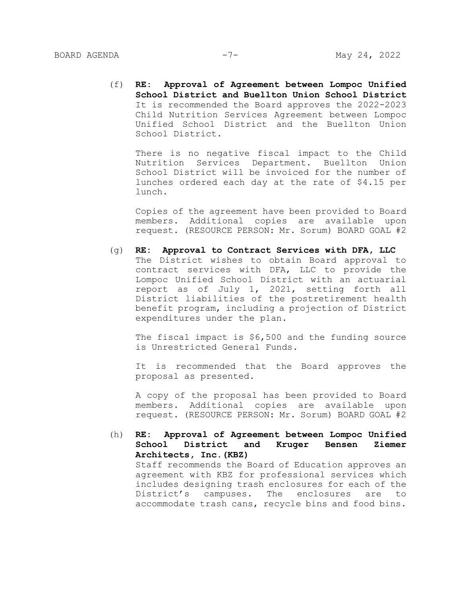(f) **RE: Approval of Agreement between Lompoc Unified School District and Buellton Union School District** It is recommended the Board approves the 2022-2023 Child Nutrition Services Agreement between Lompoc Unified School District and the Buellton Union School District.

There is no negative fiscal impact to the Child Nutrition Services Department. Buellton Union School District will be invoiced for the number of lunches ordered each day at the rate of \$4.15 per lunch.

Copies of the agreement have been provided to Board members. Additional copies are available upon request. (RESOURCE PERSON: Mr. Sorum) BOARD GOAL #2

(g) **RE: Approval to Contract Services with DFA, LLC** The District wishes to obtain Board approval to contract services with DFA, LLC to provide the Lompoc Unified School District with an actuarial report as of July 1, 2021, setting forth all District liabilities of the postretirement health benefit program, including a projection of District expenditures under the plan.

The fiscal impact is \$6,500 and the funding source is Unrestricted General Funds.

It is recommended that the Board approves the proposal as presented.

A copy of the proposal has been provided to Board members. Additional copies are available upon request. (RESOURCE PERSON: Mr. Sorum) BOARD GOAL #2

(h) **RE: Approval of Agreement between Lompoc Unified School District and Kruger Bensen Ziemer Architects, Inc.(KBZ)**  Staff recommends the Board of Education approves an agreement with KBZ for professional services which includes designing trash enclosures for each of the District's campuses. The enclosures are to accommodate trash cans, recycle bins and food bins.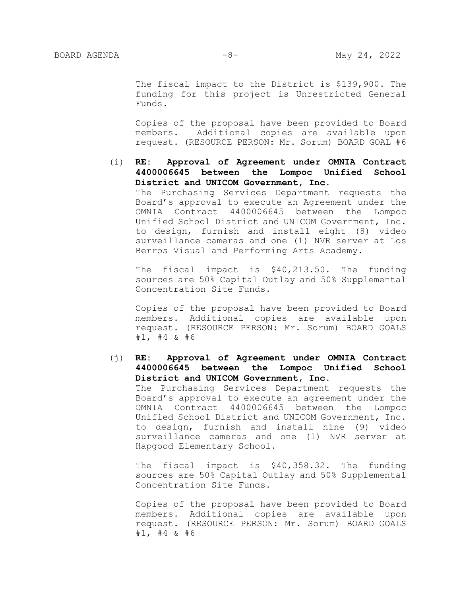The fiscal impact to the District is \$139,900. The funding for this project is Unrestricted General Funds.

Copies of the proposal have been provided to Board members. Additional copies are available upon request. (RESOURCE PERSON: Mr. Sorum) BOARD GOAL #6

(i) **RE: Approval of Agreement under OMNIA Contract 4400006645 between the Lompoc Unified School District and UNICOM Government, Inc.** The Purchasing Services Department requests the Board's approval to execute an Agreement under the OMNIA Contract 4400006645 between the Lompoc Unified School District and UNICOM Government, Inc. to design, furnish and install eight (8) video surveillance cameras and one (1) NVR server at Los Berros Visual and Performing Arts Academy.

The fiscal impact is \$40,213.50. The funding sources are 50% Capital Outlay and 50% Supplemental Concentration Site Funds.

Copies of the proposal have been provided to Board members. Additional copies are available upon request. (RESOURCE PERSON: Mr. Sorum) BOARD GOALS #1, #4 & #6

(j) **RE: Approval of Agreement under OMNIA Contract 4400006645 between the Lompoc Unified School District and UNICOM Government, Inc.** The Purchasing Services Department requests the Board's approval to execute an agreement under the OMNIA Contract 4400006645 between the Lompoc Unified School District and UNICOM Government, Inc. to design, furnish and install nine (9) video surveillance cameras and one (1) NVR server at

Hapgood Elementary School.

The fiscal impact is \$40,358.32. The funding sources are 50% Capital Outlay and 50% Supplemental Concentration Site Funds.

Copies of the proposal have been provided to Board members. Additional copies are available upon request. (RESOURCE PERSON: Mr. Sorum) BOARD GOALS #1, #4 & #6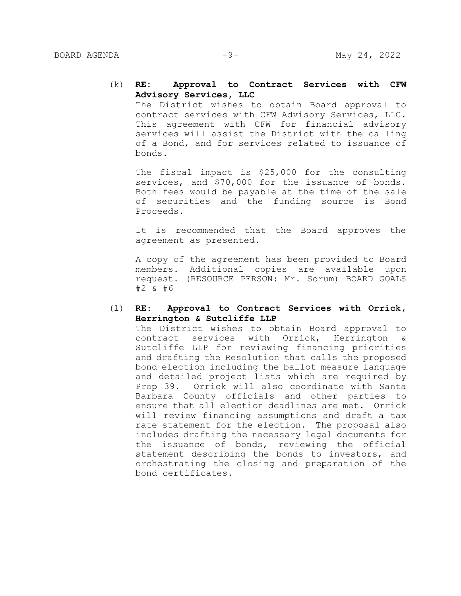### (k) **RE: Approval to Contract Services with CFW Advisory Services, LLC**

The District wishes to obtain Board approval to contract services with CFW Advisory Services, LLC. This agreement with CFW for financial advisory services will assist the District with the calling of a Bond, and for services related to issuance of bonds.

The fiscal impact is \$25,000 for the consulting services, and \$70,000 for the issuance of bonds. Both fees would be payable at the time of the sale of securities and the funding source is Bond Proceeds.

It is recommended that the Board approves the agreement as presented.

A copy of the agreement has been provided to Board members. Additional copies are available upon request. (RESOURCE PERSON: Mr. Sorum) BOARD GOALS #2 & #6

### (l) **RE: Approval to Contract Services with Orrick, Herrington & Sutcliffe LLP**

The District wishes to obtain Board approval to contract services with Orrick, Herrington & Sutcliffe LLP for reviewing financing priorities and drafting the Resolution that calls the proposed bond election including the ballot measure language and detailed project lists which are required by Prop 39. Orrick will also coordinate with Santa Barbara County officials and other parties to ensure that all election deadlines are met. Orrick will review financing assumptions and draft a tax rate statement for the election. The proposal also includes drafting the necessary legal documents for the issuance of bonds, reviewing the official statement describing the bonds to investors, and orchestrating the closing and preparation of the bond certificates.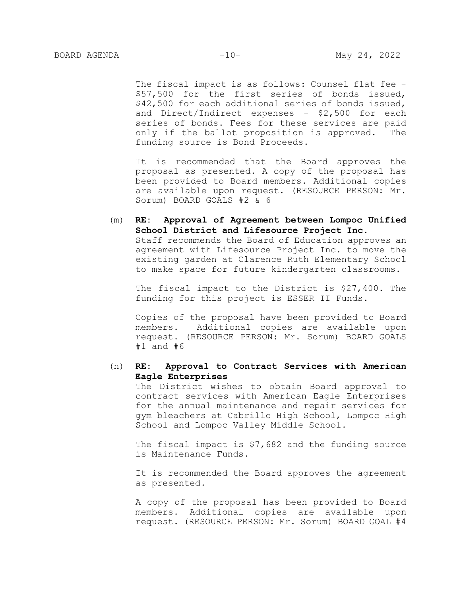The fiscal impact is as follows: Counsel flat fee -\$57,500 for the first series of bonds issued, \$42,500 for each additional series of bonds issued, and Direct/Indirect expenses - \$2,500 for each series of bonds. Fees for these services are paid only if the ballot proposition is approved. The funding source is Bond Proceeds.

It is recommended that the Board approves the proposal as presented. A copy of the proposal has been provided to Board members. Additional copies are available upon request. (RESOURCE PERSON: Mr. Sorum) BOARD GOALS #2 & 6

(m) **RE: Approval of Agreement between Lompoc Unified School District and Lifesource Project Inc.**  Staff recommends the Board of Education approves an agreement with Lifesource Project Inc. to move the existing garden at Clarence Ruth Elementary School to make space for future kindergarten classrooms.

The fiscal impact to the District is \$27,400. The funding for this project is ESSER II Funds.

Copies of the proposal have been provided to Board members. Additional copies are available upon request. (RESOURCE PERSON: Mr. Sorum) BOARD GOALS #1 and #6

### (n) **RE: Approval to Contract Services with American Eagle Enterprises**

The District wishes to obtain Board approval to contract services with American Eagle Enterprises for the annual maintenance and repair services for gym bleachers at Cabrillo High School, Lompoc High School and Lompoc Valley Middle School.

The fiscal impact is \$7,682 and the funding source is Maintenance Funds.

It is recommended the Board approves the agreement as presented.

A copy of the proposal has been provided to Board members. Additional copies are available upon request. (RESOURCE PERSON: Mr. Sorum) BOARD GOAL #4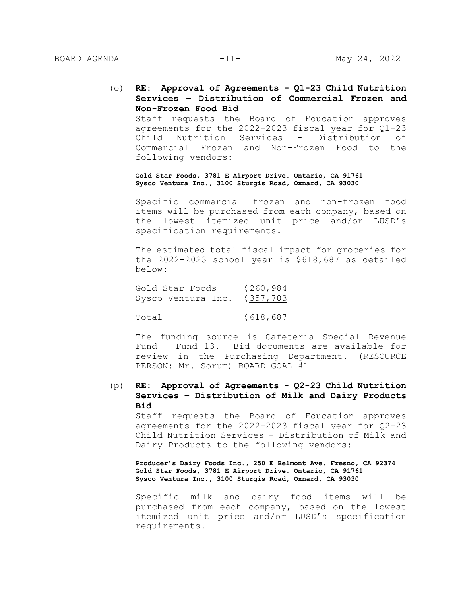(o) **RE: Approval of Agreements - Q1-23 Child Nutrition Services – Distribution of Commercial Frozen and Non-Frozen Food Bid** 

Staff requests the Board of Education approves agreements for the 2022-2023 fiscal year for Q1-23 Child Nutrition Services - Distribution of Commercial Frozen and Non-Frozen Food to the following vendors:

**Gold Star Foods, 3781 E Airport Drive. Ontario, CA 91761 Sysco Ventura Inc., 3100 Sturgis Road, Oxnard, CA 93030**

Specific commercial frozen and non-frozen food items will be purchased from each company, based on the lowest itemized unit price and/or LUSD's specification requirements.

The estimated total fiscal impact for groceries for the 2022-2023 school year is \$618,687 as detailed below:

Gold Star Foods \$260,984 Sysco Ventura Inc. \$357,703

Total \$618,687

The funding source is Cafeteria Special Revenue Fund – Fund 13. Bid documents are available for review in the Purchasing Department. (RESOURCE PERSON: Mr. Sorum) BOARD GOAL #1

(p) **RE: Approval of Agreements - Q2-23 Child Nutrition Services – Distribution of Milk and Dairy Products Bid**

Staff requests the Board of Education approves agreements for the 2022-2023 fiscal year for Q2-23 Child Nutrition Services - Distribution of Milk and Dairy Products to the following vendors:

**Producer's Dairy Foods Inc., 250 E Belmont Ave. Fresno, CA 92374 Gold Star Foods, 3781 E Airport Drive. Ontario, CA 91761 Sysco Ventura Inc., 3100 Sturgis Road, Oxnard, CA 93030**

Specific milk and dairy food items will be purchased from each company, based on the lowest itemized unit price and/or LUSD's specification requirements.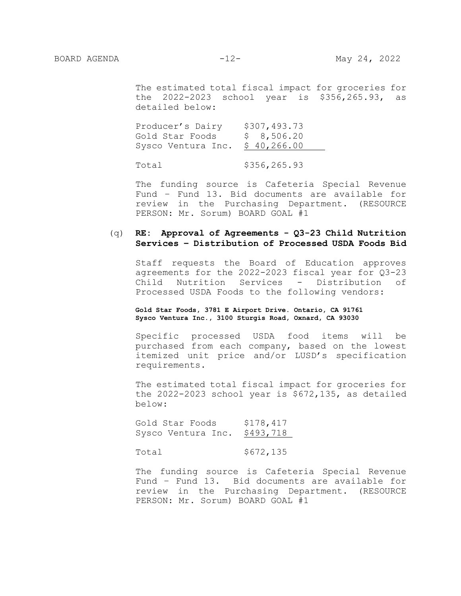The estimated total fiscal impact for groceries for the 2022-2023 school year is \$356,265.93, as detailed below:

Producer's Dairy \$307,493.73<br>Cold Star Foods \$ 8,506.20 Gold Star Foods \$ 8,506.20 Sysco Ventura Inc. \$ 40,266.00

Total \$356,265.93

The funding source is Cafeteria Special Revenue Fund – Fund 13. Bid documents are available for review in the Purchasing Department. (RESOURCE PERSON: Mr. Sorum) BOARD GOAL #1

### (q) **RE: Approval of Agreements - Q3-23 Child Nutrition Services – Distribution of Processed USDA Foods Bid**

Staff requests the Board of Education approves agreements for the 2022-2023 fiscal year for Q3-23 Child Nutrition Services - Distribution of Processed USDA Foods to the following vendors:

#### **Gold Star Foods, 3781 E Airport Drive. Ontario, CA 91761 Sysco Ventura Inc., 3100 Sturgis Road, Oxnard, CA 93030**

Specific processed USDA food items will be purchased from each company, based on the lowest itemized unit price and/or LUSD's specification requirements.

The estimated total fiscal impact for groceries for the 2022-2023 school year is \$672,135, as detailed below:

Gold Star Foods \$178,417 Sysco Ventura Inc. \$493,718

Total \$672,135

The funding source is Cafeteria Special Revenue Fund – Fund 13. Bid documents are available for review in the Purchasing Department. (RESOURCE PERSON: Mr. Sorum) BOARD GOAL #1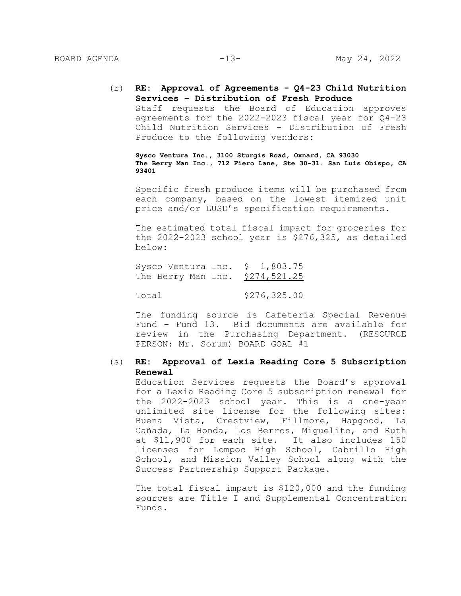(r) **RE: Approval of Agreements - Q4-23 Child Nutrition Services – Distribution of Fresh Produce**  Staff requests the Board of Education approves agreements for the 2022-2023 fiscal year for Q4-23 Child Nutrition Services - Distribution of Fresh Produce to the following vendors:

**Sysco Ventura Inc., 3100 Sturgis Road, Oxnard, CA 93030 The Berry Man Inc., 712 Fiero Lane, Ste 30-31. San Luis Obispo, CA 93401**

Specific fresh produce items will be purchased from each company, based on the lowest itemized unit price and/or LUSD's specification requirements.

The estimated total fiscal impact for groceries for the 2022-2023 school year is \$276,325, as detailed below:

Sysco Ventura Inc. \$ 1,803.75 The Berry Man Inc. \$274,521.25

Total \$276,325.00

The funding source is Cafeteria Special Revenue Fund – Fund 13. Bid documents are available for review in the Purchasing Department. (RESOURCE PERSON: Mr. Sorum) BOARD GOAL #1

### (s) **RE: Approval of Lexia Reading Core 5 Subscription Renewal**

Education Services requests the Board's approval for a Lexia Reading Core 5 subscription renewal for the 2022-2023 school year. This is a one-year unlimited site license for the following sites: Buena Vista, Crestview, Fillmore, Hapgood, La Cañada, La Honda, Los Berros, Miguelito, and Ruth at \$11,900 for each site. It also includes 150 licenses for Lompoc High School, Cabrillo High School, and Mission Valley School along with the Success Partnership Support Package.

The total fiscal impact is \$120,000 and the funding sources are Title I and Supplemental Concentration Funds.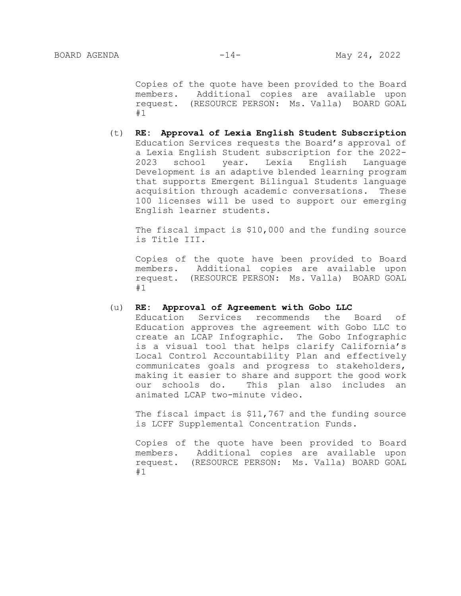Copies of the quote have been provided to the Board members. Additional copies are available upon request. (RESOURCE PERSON: Ms. Valla) BOARD GOAL #1

(t) **RE: Approval of Lexia English Student Subscription** Education Services requests the Board's approval of a Lexia English Student subscription for the 2022- 2023 school year. Lexia English Language Development is an adaptive blended learning program that supports Emergent Bilingual Students language acquisition through academic conversations. These 100 licenses will be used to support our emerging English learner students.

The fiscal impact is \$10,000 and the funding source is Title III.

Copies of the quote have been provided to Board members. Additional copies are available upon request. (RESOURCE PERSON: Ms. Valla) BOARD GOAL #1

#### (u) **RE: Approval of Agreement with Gobo LLC**

Education Services recommends the Board of Education approves the agreement with Gobo LLC to create an LCAP Infographic. The Gobo Infographic is a visual tool that helps clarify California's Local Control Accountability Plan and effectively communicates goals and progress to stakeholders, making it easier to share and support the good work our schools do. This plan also includes an animated LCAP two-minute video.

The fiscal impact is \$11,767 and the funding source is LCFF Supplemental Concentration Funds.

Copies of the quote have been provided to Board members. Additional copies are available upon request. (RESOURCE PERSON: Ms. Valla) BOARD GOAL #1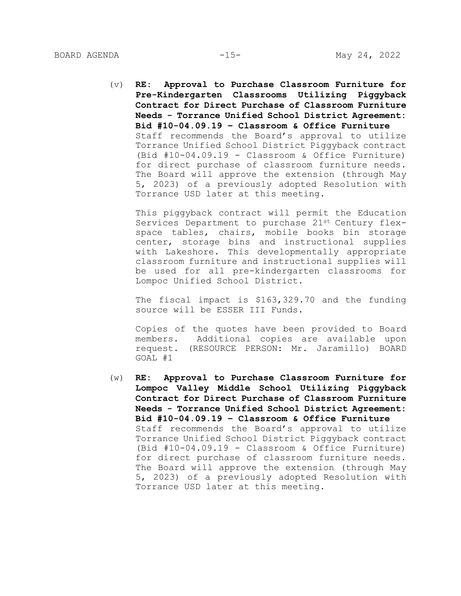(v) **RE: Approval to Purchase Classroom Furniture for Pre-Kindergarten Classrooms Utilizing Piggyback Contract for Direct Purchase of Classroom Furniture Needs - Torrance Unified School District Agreement: Bid #10-04.09.19 – Classroom & Office Furniture** Staff recommends the Board's approval to utilize Torrance Unified School District Piggyback contract (Bid #10-04.09.19 - Classroom & Office Furniture) for direct purchase of classroom furniture needs. The Board will approve the extension (through May 5, 2023) of a previously adopted Resolution with Torrance USD later at this meeting.

This piggyback contract will permit the Education Services Department to purchase 21st Century flexspace tables, chairs, mobile books bin storage center, storage bins and instructional supplies with Lakeshore. This developmentally appropriate classroom furniture and instructional supplies will be used for all pre-kindergarten classrooms for Lompoc Unified School District.

The fiscal impact is \$163,329.70 and the funding source will be ESSER III Funds.

Copies of the quotes have been provided to Board members. Additional copies are available upon request. (RESOURCE PERSON: Mr. Jaramillo) BOARD GOAL #1

(w) **RE: Approval to Purchase Classroom Furniture for Lompoc Valley Middle School Utilizing Piggyback Contract for Direct Purchase of Classroom Furniture Needs - Torrance Unified School District Agreement: Bid #10-04.09.19 – Classroom & Office Furniture** Staff recommends the Board's approval to utilize Torrance Unified School District Piggyback contract (Bid #10-04.09.19 - Classroom & Office Furniture) for direct purchase of classroom furniture needs. The Board will approve the extension (through May 5, 2023) of a previously adopted Resolution with Torrance USD later at this meeting.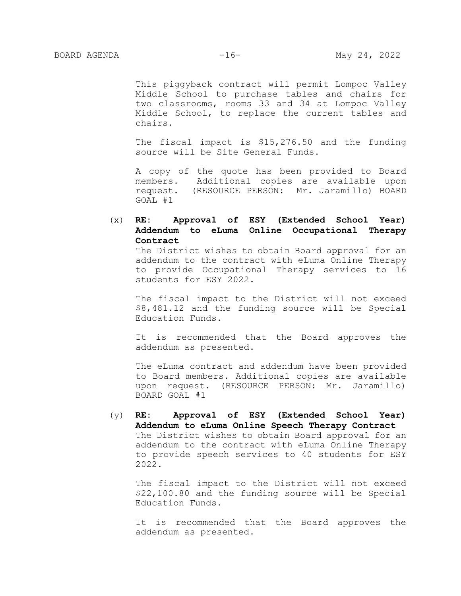This piggyback contract will permit Lompoc Valley Middle School to purchase tables and chairs for two classrooms, rooms 33 and 34 at Lompoc Valley Middle School, to replace the current tables and chairs.

The fiscal impact is \$15,276.50 and the funding source will be Site General Funds.

A copy of the quote has been provided to Board members. Additional copies are available upon request. (RESOURCE PERSON: Mr. Jaramillo) BOARD GOAL #1

# (x) **RE: Approval of ESY (Extended School Year) Addendum to eLuma Online Occupational Therapy Contract**

The District wishes to obtain Board approval for an addendum to the contract with eLuma Online Therapy to provide Occupational Therapy services to 16 students for ESY 2022.

The fiscal impact to the District will not exceed \$8,481.12 and the funding source will be Special Education Funds.

It is recommended that the Board approves the addendum as presented.

The eLuma contract and addendum have been provided to Board members. Additional copies are available upon request. (RESOURCE PERSON: Mr. Jaramillo) BOARD GOAL #1

# (y) **RE: Approval of ESY (Extended School Year) Addendum to eLuma Online Speech Therapy Contract**  The District wishes to obtain Board approval for an addendum to the contract with eLuma Online Therapy to provide speech services to 40 students for ESY 2022.

The fiscal impact to the District will not exceed \$22,100.80 and the funding source will be Special Education Funds.

It is recommended that the Board approves the addendum as presented.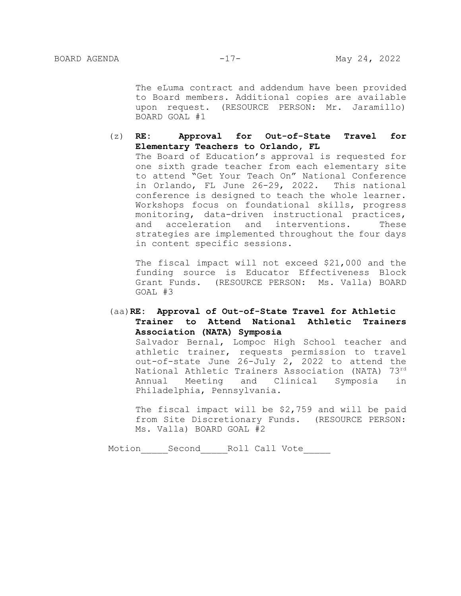The eLuma contract and addendum have been provided to Board members. Additional copies are available upon request. (RESOURCE PERSON: Mr. Jaramillo) BOARD GOAL #1

### (z) **RE: Approval for Out-of-State Travel for Elementary Teachers to Orlando, FL**

The Board of Education's approval is requested for one sixth grade teacher from each elementary site to attend "Get Your Teach On" National Conference in Orlando, FL June 26-29, 2022. This national conference is designed to teach the whole learner. Workshops focus on foundational skills, progress monitoring, data-driven instructional practices, and acceleration and interventions. These strategies are implemented throughout the four days in content specific sessions.

The fiscal impact will not exceed \$21,000 and the funding source is Educator Effectiveness Block Grant Funds. (RESOURCE PERSON: Ms. Valla) BOARD GOAL #3

## (aa)**RE: Approval of Out-of-State Travel for Athletic Trainer to Attend National Athletic Trainers Association (NATA) Symposia**

Salvador Bernal, Lompoc High School teacher and athletic trainer, requests permission to travel out-of-state June 26-July 2, 2022 to attend the National Athletic Trainers Association (NATA) 73rd Annual Meeting and Clinical Symposia in Philadelphia, Pennsylvania.

The fiscal impact will be \$2,759 and will be paid from Site Discretionary Funds. (RESOURCE PERSON: Ms. Valla) BOARD GOAL #2

Motion Second Roll Call Vote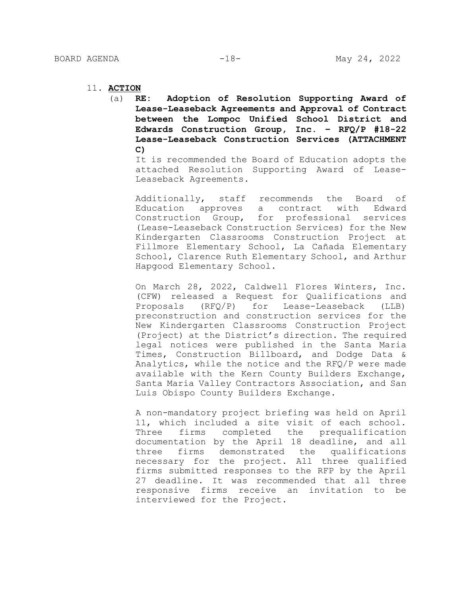- 11. **ACTION**
	- (a) **RE: Adoption of Resolution Supporting Award of Lease-Leaseback Agreements and Approval of Contract between the Lompoc Unified School District and Edwards Construction Group, Inc. – RFQ/P #18-22 Lease-Leaseback Construction Services (ATTACHMENT C)**

It is recommended the Board of Education adopts the attached Resolution Supporting Award of Lease-Leaseback Agreements.

Additionally, staff recommends the Board of Education approves a contract with Edward Construction Group, for professional services (Lease-Leaseback Construction Services) for the New Kindergarten Classrooms Construction Project at Fillmore Elementary School, La Cañada Elementary School, Clarence Ruth Elementary School, and Arthur Hapgood Elementary School.

On March 28, 2022, Caldwell Flores Winters, Inc. (CFW) released a Request for Qualifications and Proposals (RFQ/P) for Lease-Leaseback (LLB) preconstruction and construction services for the New Kindergarten Classrooms Construction Project (Project) at the District's direction. The required legal notices were published in the Santa Maria Times, Construction Billboard, and Dodge Data & Analytics, while the notice and the RFQ/P were made available with the Kern County Builders Exchange, Santa Maria Valley Contractors Association, and San Luis Obispo County Builders Exchange.

A non-mandatory project briefing was held on April 11, which included a site visit of each school. Three firms completed the prequalification documentation by the April 18 deadline, and all three firms demonstrated the qualifications necessary for the project. All three qualified firms submitted responses to the RFP by the April 27 deadline. It was recommended that all three responsive firms receive an invitation to be interviewed for the Project.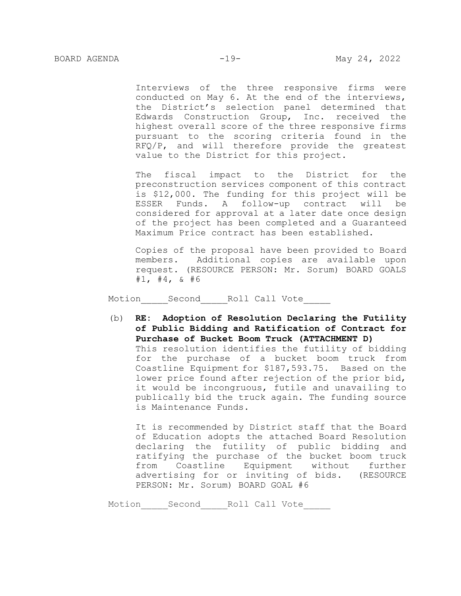Interviews of the three responsive firms were conducted on May 6. At the end of the interviews, the District's selection panel determined that Edwards Construction Group, Inc. received the highest overall score of the three responsive firms pursuant to the scoring criteria found in the RFQ/P, and will therefore provide the greatest value to the District for this project.

The fiscal impact to the District for the preconstruction services component of this contract is \$12,000. The funding for this project will be ESSER Funds. A follow-up contract will be considered for approval at a later date once design of the project has been completed and a Guaranteed Maximum Price contract has been established.

Copies of the proposal have been provided to Board members. Additional copies are available upon request. (RESOURCE PERSON: Mr. Sorum) BOARD GOALS  $#1, #4, \& #6$ 

Motion Second Roll Call Vote

(b) **RE: Adoption of Resolution Declaring the Futility of Public Bidding and Ratification of Contract for Purchase of Bucket Boom Truck (ATTACHMENT D)** This resolution identifies the futility of bidding for the purchase of a bucket boom truck from Coastline Equipment for \$187,593.75. Based on the lower price found after rejection of the prior bid, it would be incongruous, futile and unavailing to publically bid the truck again. The funding source is Maintenance Funds.

It is recommended by District staff that the Board of Education adopts the attached Board Resolution declaring the futility of public bidding and ratifying the purchase of the bucket boom truck from Coastline Equipment without further advertising for or inviting of bids. (RESOURCE PERSON: Mr. Sorum) BOARD GOAL #6

Motion Second Roll Call Vote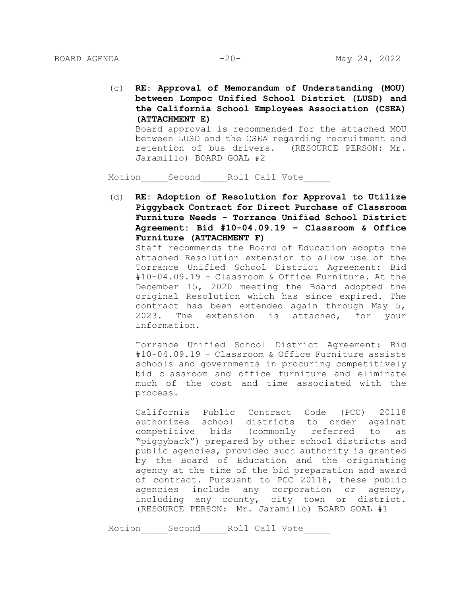(c) **RE: Approval of Memorandum of Understanding (MOU) between Lompoc Unified School District (LUSD) and the California School Employees Association (CSEA) (ATTACHMENT E)** Board approval is recommended for the attached MOU between LUSD and the CSEA regarding recruitment and retention of bus drivers. (RESOURCE PERSON: Mr. Jaramillo) BOARD GOAL #2

Motion Second Roll Call Vote

(d) **RE: Adoption of Resolution for Approval to Utilize Piggyback Contract for Direct Purchase of Classroom Furniture Needs - Torrance Unified School District Agreement: Bid #10-04.09.19 – Classroom & Office Furniture (ATTACHMENT F)**

Staff recommends the Board of Education adopts the attached Resolution extension to allow use of the Torrance Unified School District Agreement: Bid #10-04.09.19 – Classroom & Office Furniture. At the December 15, 2020 meeting the Board adopted the original Resolution which has since expired. The contract has been extended again through May 5, 2023. The extension is attached, for your information.

Torrance Unified School District Agreement: Bid #10-04.09.19 – Classroom & Office Furniture assists schools and governments in procuring competitively bid classroom and office furniture and eliminate much of the cost and time associated with the process.

California Public Contract Code (PCC) 20118 authorizes school districts to order against competitive bids (commonly referred to as "piggyback") prepared by other school districts and public agencies, provided such authority is granted by the Board of Education and the originating agency at the time of the bid preparation and award of contract. Pursuant to PCC 20118, these public agencies include any corporation or agency, including any county, city town or district. (RESOURCE PERSON: Mr. Jaramillo) BOARD GOAL #1

Motion Second Roll Call Vote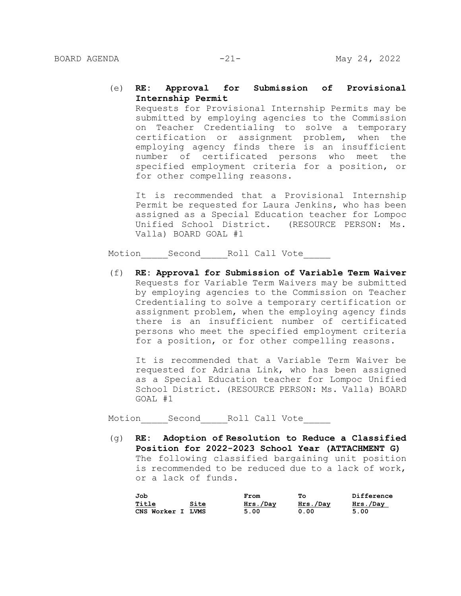### (e) **RE: Approval for Submission of Provisional Internship Permit**

Requests for Provisional Internship Permits may be submitted by employing agencies to the Commission on Teacher Credentialing to solve a temporary certification or assignment problem, when the employing agency finds there is an insufficient number of certificated persons who meet the specified employment criteria for a position, or for other compelling reasons.

It is recommended that a Provisional Internship Permit be requested for Laura Jenkins, who has been assigned as a Special Education teacher for Lompoc Unified School District. (RESOURCE PERSON: Ms. Valla) BOARD GOAL #1

Motion Second Roll Call Vote

(f) **RE: Approval for Submission of Variable Term Waiver** Requests for Variable Term Waivers may be submitted by employing agencies to the Commission on Teacher Credentialing to solve a temporary certification or assignment problem, when the employing agency finds there is an insufficient number of certificated persons who meet the specified employment criteria for a position, or for other compelling reasons.

It is recommended that a Variable Term Waiver be requested for Adriana Link, who has been assigned as a Special Education teacher for Lompoc Unified School District. (RESOURCE PERSON: Ms. Valla) BOARD GOAL #1

Motion Second Roll Call Vote

(g) **RE: Adoption of Resolution to Reduce a Classified Position for 2022-2023 School Year (ATTACHMENT G)** The following classified bargaining unit position is recommended to be reduced due to a lack of work, or a lack of funds.

| Job               |      | From     | Τо       | Difference |
|-------------------|------|----------|----------|------------|
| Title             | Site | Hrs./Day | Hrs./Day | Hrs./Day   |
| CNS Worker I LVMS |      | 5.00     | 0.00     | 5.00       |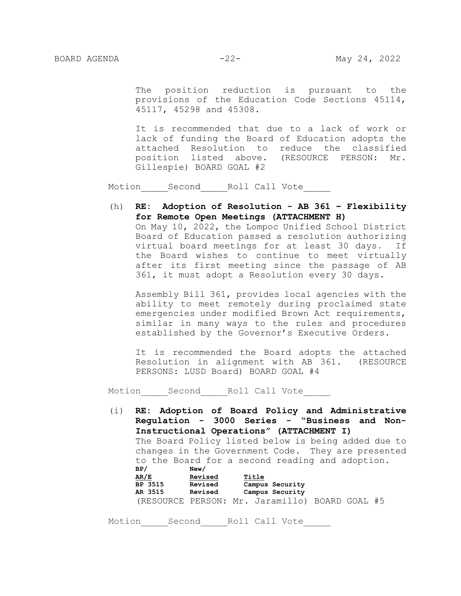The position reduction is pursuant to the provisions of the Education Code Sections 45114, 45117, 45298 and 45308.

It is recommended that due to a lack of work or lack of funding the Board of Education adopts the attached Resolution to reduce the classified position listed above. (RESOURCE PERSON: Mr. Gillespie) BOARD GOAL #2

Motion Second Roll Call Vote

(h) **RE: Adoption of Resolution - AB 361 – Flexibility for Remote Open Meetings (ATTACHMENT H)**  On May 10, 2022, the Lompoc Unified School District Board of Education passed a resolution authorizing virtual board meetings for at least 30 days. If the Board wishes to continue to meet virtually after its first meeting since the passage of AB 361, it must adopt a Resolution every 30 days.

Assembly Bill 361, provides local agencies with the ability to meet remotely during proclaimed state emergencies under modified Brown Act requirements, similar in many ways to the rules and procedures established by the Governor's Executive Orders.

It is recommended the Board adopts the attached Resolution in alignment with AB 361. (RESOURCE PERSONS: LUSD Board) BOARD GOAL #4

Motion Second Roll Call Vote

(i) **RE: Adoption of Board Policy and Administrative Regulation - 3000 Series - "Business and Non-Instructional Operations" (ATTACHMENT I)** The Board Policy listed below is being added due to changes in the Government Code. They are presented to the Board for a second reading and adoption. **BP/ New/ AR/E Revised Title BP 3515 Revised Campus Security AR 3515 Revised Campus Security** (RESOURCE PERSON: Mr. Jaramillo) BOARD GOAL #5

Motion Second Roll Call Vote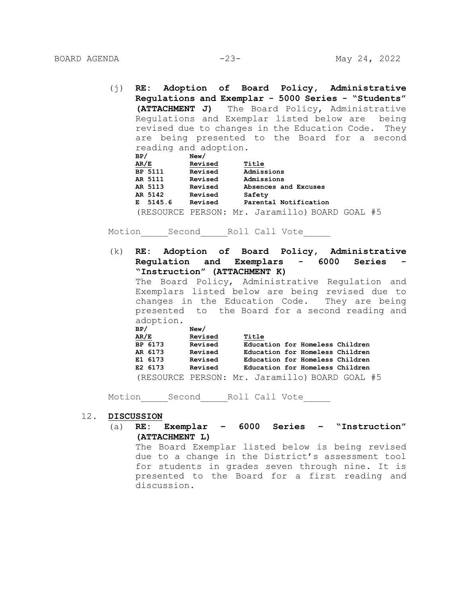- (j) **RE: Adoption of Board Policy, Administrative Regulations and Exemplar - 5000 Series - "Students" (ATTACHMENT J)** The Board Policy, Administrative Regulations and Exemplar listed below are being revised due to changes in the Education Code. They are being presented to the Board for a second reading and adoption. **BP/ New/**
	- **AR/E Revised Title BP 5111 Revised Admissions AR 5111 Revised Admissions AR 5113 Revised Absences and Excuses AR 5142 Revised Safety E 5145.6 Revised Parental Notification** (RESOURCE PERSON: Mr. Jaramillo) BOARD GOAL #5

Motion Second Roll Call Vote

(k) **RE: Adoption of Board Policy, Administrative Regulation and Exemplars - 6000 Series - "Instruction" (ATTACHMENT K)**

The Board Policy, Administrative Regulation and Exemplars listed below are being revised due to changes in the Education Code. They are being presented to the Board for a second reading and adoption.

| BP/                                            | New/    |       |                                 |  |
|------------------------------------------------|---------|-------|---------------------------------|--|
| AR/E                                           | Revised | Title |                                 |  |
| BP 6173                                        | Revised |       | Education for Homeless Children |  |
| AR 6173                                        | Revised |       | Education for Homeless Children |  |
| E1 6173                                        | Revised |       | Education for Homeless Children |  |
| E2 6173                                        | Revised |       | Education for Homeless Children |  |
| (RESOURCE PERSON: Mr. Jaramillo) BOARD GOAL #5 |         |       |                                 |  |

Motion Second Roll Call Vote

#### 12. **DISCUSSION**

(a) **RE: Exemplar – 6000 Series – "Instruction" (ATTACHMENT L)**

The Board Exemplar listed below is being revised due to a change in the District's assessment tool for students in grades seven through nine. It is presented to the Board for a first reading and discussion.